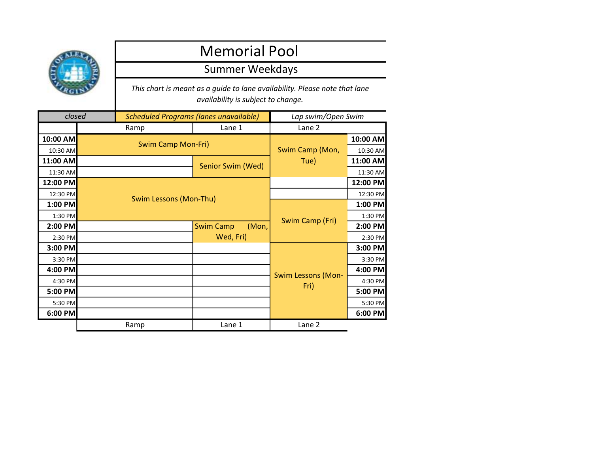

## Memorial Pool

## Summer Weekdays

This chart is meant as a guide to lane availability. Please note that lane availability is subject to change.

| closed   |  | <b>Scheduled Programs (lanes unavailable)</b> |                           | Lap swim/Open Swim        |          |
|----------|--|-----------------------------------------------|---------------------------|---------------------------|----------|
|          |  | Ramp                                          | Lane 1                    | Lane 2                    |          |
| 10:00 AM |  |                                               |                           | Swim Camp (Mon,<br>Tue)   | 10:00 AM |
| 10:30 AM |  | Swim Camp Mon-Fri)                            |                           |                           | 10:30 AM |
| 11:00 AM |  |                                               | Senior Swim (Wed)         |                           | 11:00 AM |
| 11:30 AM |  |                                               |                           |                           | 11:30 AM |
| 12:00 PM |  |                                               |                           | 12:00 PM                  |          |
| 12:30 PM |  | Swim Lessons (Mon-Thu)                        |                           |                           | 12:30 PM |
| 1:00 PM  |  |                                               |                           | Swim Camp (Fri)           | 1:00 PM  |
| 1:30 PM  |  |                                               |                           |                           | 1:30 PM  |
| 2:00 PM  |  |                                               | (Mon,<br><b>Swim Camp</b> |                           | 2:00 PM  |
| 2:30 PM  |  |                                               | Wed, Fri)                 |                           | 2:30 PM  |
| 3:00 PM  |  |                                               |                           |                           | 3:00 PM  |
| 3:30 PM  |  |                                               |                           |                           | 3:30 PM  |
| 4:00 PM  |  |                                               |                           | <b>Swim Lessons (Mon-</b> | 4:00 PM  |
| 4:30 PM  |  |                                               |                           |                           | 4:30 PM  |
| 5:00 PM  |  |                                               |                           | Fri)                      | 5:00 PM  |
| 5:30 PM  |  |                                               |                           |                           | 5:30 PM  |
| 6:00 PM  |  |                                               |                           |                           | 6:00 PM  |
|          |  | Ramp                                          | Lane 1                    | Lane 2                    |          |